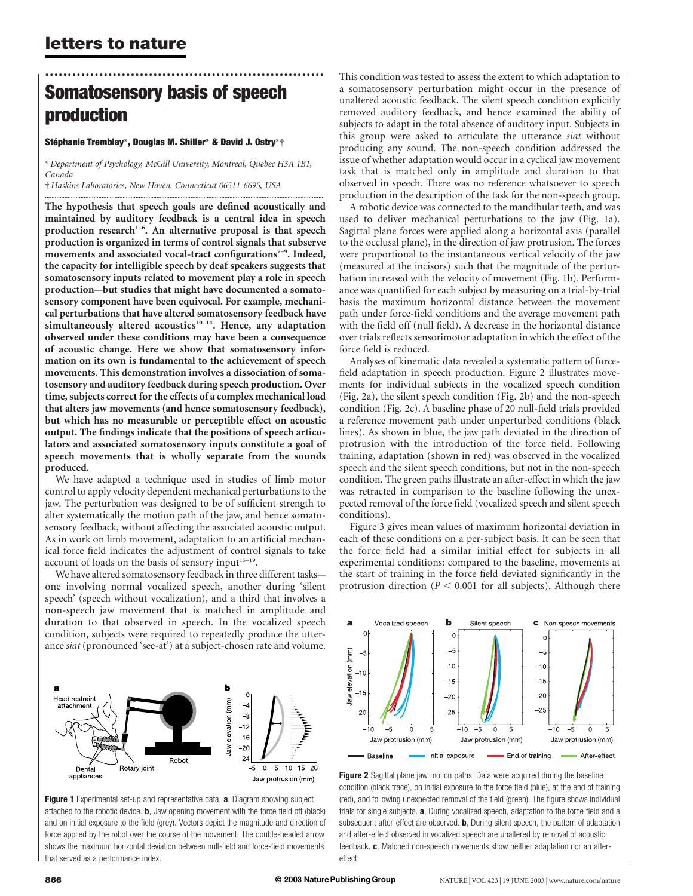## .............................................................. Somatosensory basis of speech production

#### Stéphanie Tremblay\*, Douglas M. Shiller\* & David J. Ostry\*†

\* Department of Psychology, McGill University, Montreal, Quebec H3A 1B1, Canada

.............................................................................................................................................................................

† Haskins Laboratories, New Haven, Connecticut 06511-6695, USA

The hypothesis that speech goals are defined acoustically and maintained by auditory feedback is a central idea in speech production research<sup>1-6</sup>. An alternative proposal is that speech production is organized in terms of control signals that subserve movements and associated vocal-tract configurations<sup>7-9</sup>. Indeed, the capacity for intelligible speech by deaf speakers suggests that somatosensory inputs related to movement play a role in speech production—but studies that might have documented a somatosensory component have been equivocal. For example, mechanical perturbations that have altered somatosensory feedback have simultaneously altered acoustics<sup>10–14</sup>. Hence, any adaptation observed under these conditions may have been a consequence of acoustic change. Here we show that somatosensory information on its own is fundamental to the achievement of speech movements. This demonstration involves a dissociation of somatosensory and auditory feedback during speech production. Over time, subjects correct for the effects of a complex mechanical load that alters jaw movements (and hence somatosensory feedback), but which has no measurable or perceptible effect on acoustic output. The findings indicate that the positions of speech articulators and associated somatosensory inputs constitute a goal of speech movements that is wholly separate from the sounds produced.

We have adapted a technique used in studies of limb motor control to apply velocity dependent mechanical perturbations to the jaw. The perturbation was designed to be of sufficient strength to alter systematically the motion path of the jaw, and hence somatosensory feedback, without affecting the associated acoustic output. As in work on limb movement, adaptation to an artificial mechanical force field indicates the adjustment of control signals to take account of loads on the basis of sensory input<sup>15–19</sup>.

We have altered somatosensory feedback in three different tasks one involving normal vocalized speech, another during 'silent speech' (speech without vocalization), and a third that involves a non-speech jaw movement that is matched in amplitude and duration to that observed in speech. In the vocalized speech condition, subjects were required to repeatedly produce the utterance siat (pronounced 'see-at') at a subject-chosen rate and volume.



Figure 1 Experimental set-up and representative data. a, Diagram showing subject attached to the robotic device. b, Jaw opening movement with the force field off (black) and on initial exposure to the field (grey). Vectors depict the magnitude and direction of force applied by the robot over the course of the movement. The double-headed arrow shows the maximum horizontal deviation between null-field and force-field movements that served as a performance index.

This condition was tested to assess the extent to which adaptation to a somatosensory perturbation might occur in the presence of unaltered acoustic feedback. The silent speech condition explicitly removed auditory feedback, and hence examined the ability of subjects to adapt in the total absence of auditory input. Subjects in this group were asked to articulate the utterance siat without producing any sound. The non-speech condition addressed the issue of whether adaptation would occur in a cyclical jaw movement task that is matched only in amplitude and duration to that observed in speech. There was no reference whatsoever to speech production in the description of the task for the non-speech group.

A robotic device was connected to the mandibular teeth, and was used to deliver mechanical perturbations to the jaw (Fig. 1a). Sagittal plane forces were applied along a horizontal axis (parallel to the occlusal plane), in the direction of jaw protrusion. The forces were proportional to the instantaneous vertical velocity of the jaw (measured at the incisors) such that the magnitude of the perturbation increased with the velocity of movement (Fig. 1b). Performance was quantified for each subject by measuring on a trial-by-trial basis the maximum horizontal distance between the movement path under force-field conditions and the average movement path with the field off (null field). A decrease in the horizontal distance over trials reflects sensorimotor adaptation in which the effect of the force field is reduced.

Analyses of kinematic data revealed a systematic pattern of forcefield adaptation in speech production. Figure 2 illustrates movements for individual subjects in the vocalized speech condition (Fig. 2a), the silent speech condition (Fig. 2b) and the non-speech condition (Fig. 2c). A baseline phase of 20 null-field trials provided a reference movement path under unperturbed conditions (black lines). As shown in blue, the jaw path deviated in the direction of protrusion with the introduction of the force field. Following training, adaptation (shown in red) was observed in the vocalized speech and the silent speech conditions, but not in the non-speech condition. The green paths illustrate an after-effect in which the jaw was retracted in comparison to the baseline following the unexpected removal of the force field (vocalized speech and silent speech conditions).

Figure 3 gives mean values of maximum horizontal deviation in each of these conditions on a per-subject basis. It can be seen that the force field had a similar initial effect for subjects in all experimental conditions: compared to the baseline, movements at the start of training in the force field deviated significantly in the protrusion direction ( $P < 0.001$  for all subjects). Although there



Figure 2 Sagittal plane jaw motion paths. Data were acquired during the baseline condition (black trace), on initial exposure to the force field (blue), at the end of training (red), and following unexpected removal of the field (green). The figure shows individual trials for single subjects. **a**, During vocalized speech, adaptation to the force field and a subsequent after-effect are observed. **b**, During silent speech, the pattern of adaptation and after-effect observed in vocalized speech are unaltered by removal of acoustic feedback. c, Matched non-speech movements show neither adaptation nor an aftereffect.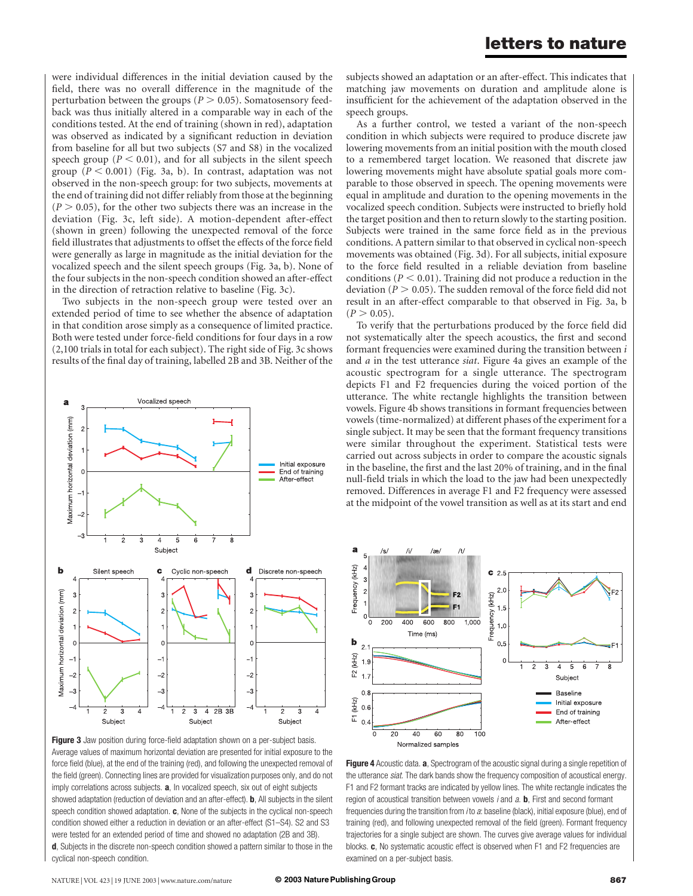were individual differences in the initial deviation caused by the field, there was no overall difference in the magnitude of the perturbation between the groups ( $P > 0.05$ ). Somatosensory feedback was thus initially altered in a comparable way in each of the conditions tested. At the end of training (shown in red), adaptation was observed as indicated by a significant reduction in deviation from baseline for all but two subjects (S7 and S8) in the vocalized speech group ( $P < 0.01$ ), and for all subjects in the silent speech group  $(P < 0.001)$  (Fig. 3a, b). In contrast, adaptation was not observed in the non-speech group: for two subjects, movements at the end of training did not differ reliably from those at the beginning  $(P > 0.05)$ , for the other two subjects there was an increase in the deviation (Fig. 3c, left side). A motion-dependent after-effect (shown in green) following the unexpected removal of the force field illustrates that adjustments to offset the effects of the force field were generally as large in magnitude as the initial deviation for the vocalized speech and the silent speech groups (Fig. 3a, b). None of the four subjects in the non-speech condition showed an after-effect in the direction of retraction relative to baseline (Fig. 3c).

Two subjects in the non-speech group were tested over an extended period of time to see whether the absence of adaptation in that condition arose simply as a consequence of limited practice. Both were tested under force-field conditions for four days in a row (2,100 trials in total for each subject). The right side of Fig. 3c shows results of the final day of training, labelled 2B and 3B. Neither of the



Figure 3 Jaw position during force-field adaptation shown on a per-subject basis. Average values of maximum horizontal deviation are presented for initial exposure to the force field (blue), at the end of the training (red), and following the unexpected removal of the field (green). Connecting lines are provided for visualization purposes only, and do not imply correlations across subjects. **a**, In vocalized speech, six out of eight subjects showed adaptation (reduction of deviation and an after-effect). **b**, All subjects in the silent speech condition showed adaptation. c, None of the subjects in the cyclical non-speech condition showed either a reduction in deviation or an after-effect (S1–S4). S2 and S3 were tested for an extended period of time and showed no adaptation (2B and 3B). d, Subjects in the discrete non-speech condition showed a pattern similar to those in the cyclical non-speech condition.

subjects showed an adaptation or an after-effect. This indicates that matching jaw movements on duration and amplitude alone is insufficient for the achievement of the adaptation observed in the speech groups.

As a further control, we tested a variant of the non-speech condition in which subjects were required to produce discrete jaw lowering movements from an initial position with the mouth closed to a remembered target location. We reasoned that discrete jaw lowering movements might have absolute spatial goals more comparable to those observed in speech. The opening movements were equal in amplitude and duration to the opening movements in the vocalized speech condition. Subjects were instructed to briefly hold the target position and then to return slowly to the starting position. Subjects were trained in the same force field as in the previous conditions. A pattern similar to that observed in cyclical non-speech movements was obtained (Fig. 3d). For all subjects, initial exposure to the force field resulted in a reliable deviation from baseline conditions ( $P < 0.01$ ). Training did not produce a reduction in the deviation ( $P > 0.05$ ). The sudden removal of the force field did not result in an after-effect comparable to that observed in Fig. 3a, b  $(P > 0.05)$ .

To verify that the perturbations produced by the force field did not systematically alter the speech acoustics, the first and second formant frequencies were examined during the transition between  $i$ and a in the test utterance siat. Figure 4a gives an example of the acoustic spectrogram for a single utterance. The spectrogram depicts F1 and F2 frequencies during the voiced portion of the utterance. The white rectangle highlights the transition between vowels. Figure 4b shows transitions in formant frequencies between vowels (time-normalized) at different phases of the experiment for a single subject. It may be seen that the formant frequency transitions were similar throughout the experiment. Statistical tests were carried out across subjects in order to compare the acoustic signals in the baseline, the first and the last 20% of training, and in the final null-field trials in which the load to the jaw had been unexpectedly removed. Differences in average F1 and F2 frequency were assessed at the midpoint of the vowel transition as well as at its start and end



Figure 4 Acoustic data. a, Spectrogram of the acoustic signal during a single repetition of the utterance siat. The dark bands show the frequency composition of acoustical energy. F1 and F2 formant tracks are indicated by yellow lines. The white rectangle indicates the region of acoustical transition between vowels  $i$  and  $a$ . **b**, First and second formant frequencies during the transition from *i* to a: baseline (black), initial exposure (blue), end of training (red), and following unexpected removal of the field (green). Formant frequency trajectories for a single subject are shown. The curves give average values for individual blocks. c, No systematic acoustic effect is observed when F1 and F2 frequencies are examined on a per-subject basis.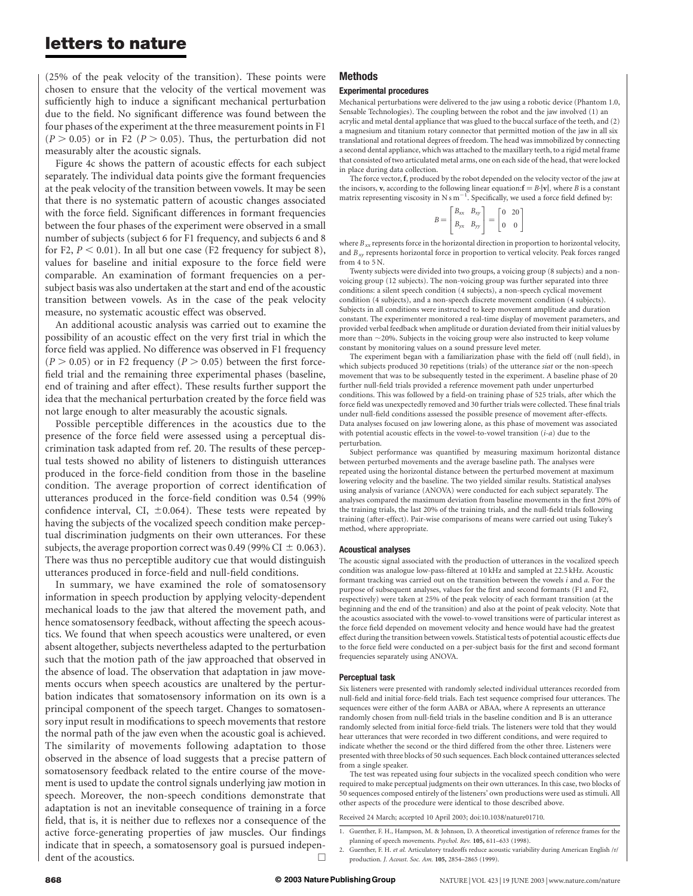## letters to nature

(25% of the peak velocity of the transition). These points were chosen to ensure that the velocity of the vertical movement was sufficiently high to induce a significant mechanical perturbation due to the field. No significant difference was found between the four phases of the experiment at the three measurement points in F1  $(P > 0.05)$  or in F2 ( $P > 0.05$ ). Thus, the perturbation did not measurably alter the acoustic signals.

Figure 4c shows the pattern of acoustic effects for each subject separately. The individual data points give the formant frequencies at the peak velocity of the transition between vowels. It may be seen that there is no systematic pattern of acoustic changes associated with the force field. Significant differences in formant frequencies between the four phases of the experiment were observed in a small number of subjects (subject 6 for F1 frequency, and subjects 6 and 8 for F2,  $P < 0.01$ ). In all but one case (F2 frequency for subject 8), values for baseline and initial exposure to the force field were comparable. An examination of formant frequencies on a persubject basis was also undertaken at the start and end of the acoustic transition between vowels. As in the case of the peak velocity measure, no systematic acoustic effect was observed.

An additional acoustic analysis was carried out to examine the possibility of an acoustic effect on the very first trial in which the force field was applied. No difference was observed in F1 frequency  $(P > 0.05)$  or in F2 frequency  $(P > 0.05)$  between the first forcefield trial and the remaining three experimental phases (baseline, end of training and after effect). These results further support the idea that the mechanical perturbation created by the force field was not large enough to alter measurably the acoustic signals.

Possible perceptible differences in the acoustics due to the presence of the force field were assessed using a perceptual discrimination task adapted from ref. 20. The results of these perceptual tests showed no ability of listeners to distinguish utterances produced in the force-field condition from those in the baseline condition. The average proportion of correct identification of utterances produced in the force-field condition was 0.54 (99% confidence interval, CI,  $\pm 0.064$ ). These tests were repeated by having the subjects of the vocalized speech condition make perceptual discrimination judgments on their own utterances. For these subjects, the average proportion correct was 0.49 (99% CI  $\pm$  0.063). There was thus no perceptible auditory cue that would distinguish utterances produced in force-field and null-field conditions.

In summary, we have examined the role of somatosensory information in speech production by applying velocity-dependent mechanical loads to the jaw that altered the movement path, and hence somatosensory feedback, without affecting the speech acoustics. We found that when speech acoustics were unaltered, or even absent altogether, subjects nevertheless adapted to the perturbation such that the motion path of the jaw approached that observed in the absence of load. The observation that adaptation in jaw movements occurs when speech acoustics are unaltered by the perturbation indicates that somatosensory information on its own is a principal component of the speech target. Changes to somatosensory input result in modifications to speech movements that restore the normal path of the jaw even when the acoustic goal is achieved. The similarity of movements following adaptation to those observed in the absence of load suggests that a precise pattern of somatosensory feedback related to the entire course of the movement is used to update the control signals underlying jaw motion in speech. Moreover, the non-speech conditions demonstrate that adaptation is not an inevitable consequence of training in a force field, that is, it is neither due to reflexes nor a consequence of the active force-generating properties of jaw muscles. Our findings indicate that in speech, a somatosensory goal is pursued independent of the acoustics.  $\Box$ 

### Methods

### Experimental procedures

Mechanical perturbations were delivered to the jaw using a robotic device (Phantom 1.0, Sensable Technologies). The coupling between the robot and the jaw involved (1) an acrylic and metal dental appliance that was glued to the buccal surface of the teeth, and (2) a magnesium and titanium rotary connector that permitted motion of the jaw in all six translational and rotational degrees of freedom. The head was immobilized by connecting a second dental appliance, which was attached to the maxillary teeth, to a rigid metal frame that consisted of two articulated metal arms, one on each side of the head, that were locked in place during data collection.

The force vector, f, produced by the robot depended on the velocity vector of the jaw at the incisors, v, according to the following linear equation:  $\mathbf{f} = B \cdot |\mathbf{v}|$ , where *B* is a constant matrix representing viscosity in N s  $m^{-1}$ . Specifically, we used a force field defined by:

$$
B = \begin{bmatrix} B_{xx} & B_{xy} \\ B_{yx} & B_{yy} \end{bmatrix} = \begin{bmatrix} 0 & 20 \\ 0 & 0 \end{bmatrix}
$$

where  $B_{xx}$  represents force in the horizontal direction in proportion to horizontal velocity, and  $B_{xy}$  represents horizontal force in proportion to vertical velocity. Peak forces ranged from 4 to 5 N.

Twenty subjects were divided into two groups, a voicing group (8 subjects) and a nonvoicing group (12 subjects). The non-voicing group was further separated into three conditions: a silent speech condition (4 subjects), a non-speech cyclical movement condition (4 subjects), and a non-speech discrete movement condition (4 subjects). Subjects in all conditions were instructed to keep movement amplitude and duration constant. The experimenter monitored a real-time display of movement parameters, and provided verbal feedback when amplitude or duration deviated from their initial values by more than  $\sim$ 20%. Subjects in the voicing group were also instructed to keep volume constant by monitoring values on a sound pressure level meter.

The experiment began with a familiarization phase with the field off (null field), in which subjects produced 30 repetitions (trials) of the utterance siat or the non-speech movement that was to be subsequently tested in the experiment. A baseline phase of 20 further null-field trials provided a reference movement path under unperturbed conditions. This was followed by a field-on training phase of 525 trials, after which the force field was unexpectedly removed and 30 further trials were collected. These final trials under null-field conditions assessed the possible presence of movement after-effects. Data analyses focused on jaw lowering alone, as this phase of movement was associated with potential acoustic effects in the vowel-to-vowel transition  $(i-a)$  due to the perturbation.

Subject performance was quantified by measuring maximum horizontal distance between perturbed movements and the average baseline path. The analyses were repeated using the horizontal distance between the perturbed movement at maximum lowering velocity and the baseline. The two yielded similar results. Statistical analyses using analysis of variance (ANOVA) were conducted for each subject separately. The analyses compared the maximum deviation from baseline movements in the first 20% of the training trials, the last 20% of the training trials, and the null-field trials following training (after-effect). Pair-wise comparisons of means were carried out using Tukey's method, where appropriate.

#### Acoustical analyses

The acoustic signal associated with the production of utterances in the vocalized speech condition was analogue low-pass-filtered at 10 kHz and sampled at 22.5 kHz. Acoustic formant tracking was carried out on the transition between the vowels  $i$  and  $a$ . For the purpose of subsequent analyses, values for the first and second formants (F1 and F2, respectively) were taken at 25% of the peak velocity of each formant transition (at the beginning and the end of the transition) and also at the point of peak velocity. Note that the acoustics associated with the vowel-to-vowel transitions were of particular interest as the force field depended on movement velocity and hence would have had the greatest effect during the transition between vowels. Statistical tests of potential acoustic effects due to the force field were conducted on a per-subject basis for the first and second formant frequencies separately using ANOVA.

#### Perceptual task

Six listeners were presented with randomly selected individual utterances recorded from null-field and initial force-field trials. Each test sequence comprised four utterances. The sequences were either of the form AABA or ABAA, where A represents an utterance randomly chosen from null-field trials in the baseline condition and B is an utterance randomly selected from initial force-field trials. The listeners were told that they would hear utterances that were recorded in two different conditions, and were required to indicate whether the second or the third differed from the other three. Listeners were presented with three blocks of 50 such sequences. Each block contained utterances selected from a single speaker.

The test was repeated using four subjects in the vocalized speech condition who were required to make perceptual judgments on their own utterances. In this case, two blocks of 50 sequences composed entirely of the listeners' own productions were used as stimuli. All other aspects of the procedure were identical to those described above.

Received 24 March; accepted 10 April 2003; doi:10.1038/nature01710.

- planning of speech movements. Psychol. Rev. 105, 611–633 (1998).
- 2. Guenther, F. H. et al. Articulatory tradeoffs reduce acoustic variability during American English /r/ production. J. Acoust. Soc. Am. 105, 2854–2865 (1999).

<sup>1.</sup> Guenther, F. H., Hampson, M. & Johnson, D. A theoretical investigation of reference frames for the